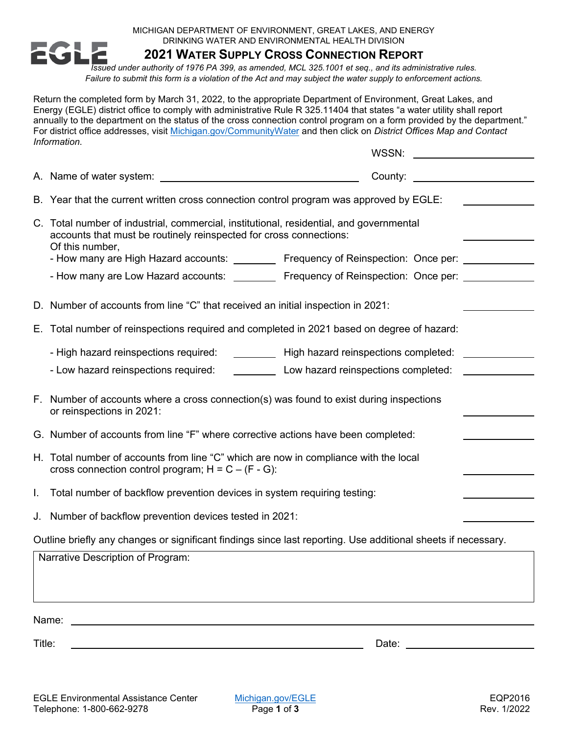MICHIGAN DEPARTMENT OF ENVIRONMENT, GREAT LAKES, AND ENERGY DRINKING WATER AND ENVIRONMENTAL HEALTH DIVISION



**2021 WATER SUPPLY CROSS CONNECTION REPORT**

*Issued under authority of 1976 PA 399, as amended, MCL 325.1001 et seq., and its administrative rules. Failure to submit this form is a violation of the Act and may subject the water supply to enforcement actions.* 

Return the completed form by March 31, 2022, to the appropriate Department of Environment, Great Lakes, and Energy (EGLE) district office to comply with administrative Rule R 325.11404 that states "a water utility shall report annually to the department on the status of the cross connection control program on a form provided by the department." For district office addresses, visit [Michigan.gov/CommunityWater](http://www.michigan.gov/communitywater) and then click on *District Offices Map and Contact Information*.

|                                                                                                               | WSSN:                                                                                                                                                                            |  |
|---------------------------------------------------------------------------------------------------------------|----------------------------------------------------------------------------------------------------------------------------------------------------------------------------------|--|
|                                                                                                               | County:                                                                                                                                                                          |  |
|                                                                                                               | B. Year that the current written cross connection control program was approved by EGLE:                                                                                          |  |
|                                                                                                               | C. Total number of industrial, commercial, institutional, residential, and governmental<br>accounts that must be routinely reinspected for cross connections:<br>Of this number, |  |
|                                                                                                               | - How many are High Hazard accounts: _________ Frequency of Reinspection: Once per: ________                                                                                     |  |
|                                                                                                               | - How many are Low Hazard accounts: _________ Frequency of Reinspection: Once per: ______                                                                                        |  |
|                                                                                                               | D. Number of accounts from line "C" that received an initial inspection in 2021:                                                                                                 |  |
|                                                                                                               | E. Total number of reinspections required and completed in 2021 based on degree of hazard:                                                                                       |  |
|                                                                                                               | - High hazard reinspections required:<br>High hazard reinspections completed:                                                                                                    |  |
|                                                                                                               | Low hazard reinspections completed:<br>- Low hazard reinspections required:                                                                                                      |  |
|                                                                                                               | F. Number of accounts where a cross connection(s) was found to exist during inspections<br>or reinspections in 2021:                                                             |  |
|                                                                                                               | G. Number of accounts from line "F" where corrective actions have been completed:                                                                                                |  |
|                                                                                                               | H. Total number of accounts from line "C" which are now in compliance with the local<br>cross connection control program; $H = C - (F - G)$ :                                    |  |
| L.                                                                                                            | Total number of backflow prevention devices in system requiring testing:                                                                                                         |  |
|                                                                                                               | J. Number of backflow prevention devices tested in 2021:                                                                                                                         |  |
| Outline briefly any changes or significant findings since last reporting. Use additional sheets if necessary. |                                                                                                                                                                                  |  |
| Narrative Description of Program:                                                                             |                                                                                                                                                                                  |  |
| Name:                                                                                                         |                                                                                                                                                                                  |  |

Title: Date: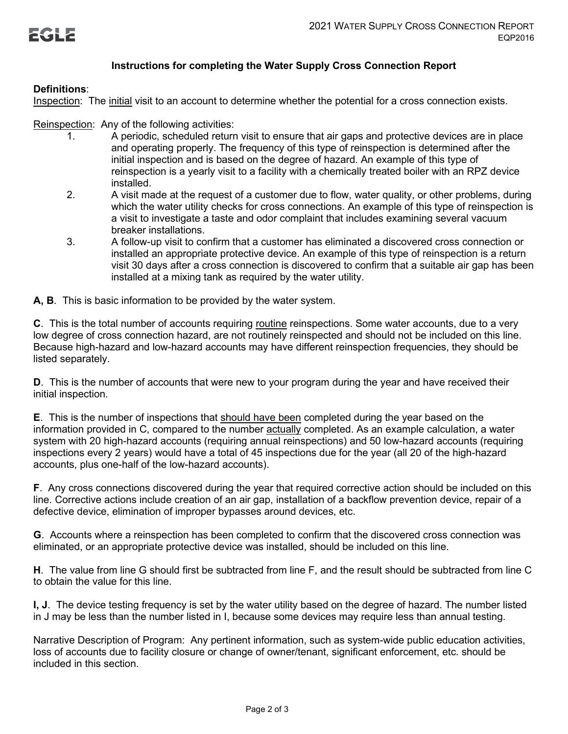

## **Instructions for completing the Water Supply Cross Connection Report**

## **Definitions**:

Inspection: The initial visit to an account to determine whether the potential for a cross connection exists.

## Reinspection: Any of the following activities:

- 1. A periodic, scheduled return visit to ensure that air gaps and protective devices are in place and operating properly. The frequency of this type of reinspection is determined after the initial inspection and is based on the degree of hazard. An example of this type of reinspection is a yearly visit to a facility with a chemically treated boiler with an RPZ device installed.
- 2. A visit made at the request of a customer due to flow, water quality, or other problems, during which the water utility checks for cross connections. An example of this type of reinspection is a visit to investigate a taste and odor complaint that includes examining several vacuum breaker installations.
- 3. A follow-up visit to confirm that a customer has eliminated a discovered cross connection or installed an appropriate protective device. An example of this type of reinspection is a return visit 30 days after a cross connection is discovered to confirm that a suitable air gap has been installed at a mixing tank as required by the water utility.

**A, B**. This is basic information to be provided by the water system.

**C**. This is the total number of accounts requiring routine reinspections. Some water accounts, due to a very low degree of cross connection hazard, are not routinely reinspected and should not be included on this line. Because high-hazard and low-hazard accounts may have different reinspection frequencies, they should be listed separately.

**D**. This is the number of accounts that were new to your program during the year and have received their initial inspection.

**E**. This is the number of inspections that should have been completed during the year based on the information provided in C, compared to the number actually completed. As an example calculation, a water system with 20 high-hazard accounts (requiring annual reinspections) and 50 low-hazard accounts (requiring inspections every 2 years) would have a total of 45 inspections due for the year (all 20 of the high-hazard accounts, plus one-half of the low-hazard accounts).

**F**. Any cross connections discovered during the year that required corrective action should be included on this line. Corrective actions include creation of an air gap, installation of a backflow prevention device, repair of a defective device, elimination of improper bypasses around devices, etc.

**G**. Accounts where a reinspection has been completed to confirm that the discovered cross connection was eliminated, or an appropriate protective device was installed, should be included on this line.

**H**. The value from line G should first be subtracted from line F, and the result should be subtracted from line C to obtain the value for this line.

**I, J**. The device testing frequency is set by the water utility based on the degree of hazard. The number listed in J may be less than the number listed in I, because some devices may require less than annual testing.

Narrative Description of Program: Any pertinent information, such as system-wide public education activities, loss of accounts due to facility closure or change of owner/tenant, significant enforcement, etc. should be included in this section.